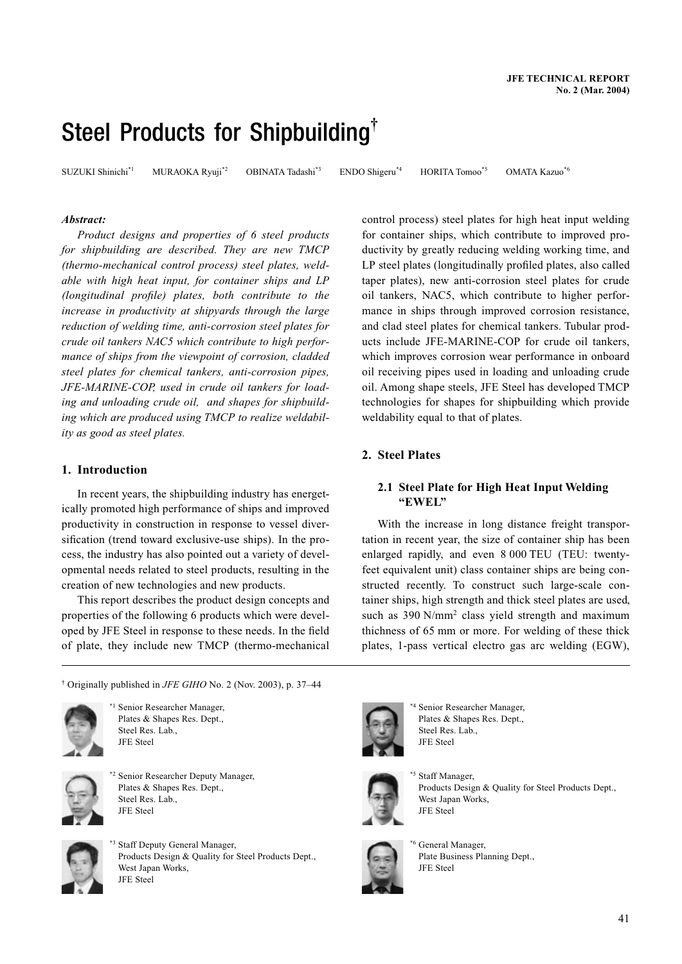# Steel Products for Shipbuilding**†**

SUZUKI Shinichi\*1MURAOKA Ryuji\*2OBINATA Tadashi\*3ENDO Shigeru\*4HORITA Tomoo\*5OMATA Kazuo\*6

# *Abstract:*

*Product designs and properties of 6 steel products for shipbuilding are described. They are new TMCP (thermo-mechanical control process) steel plates, weldable with high heat input, for container ships and LP (longitudinal profile) plates, both contribute to the increase in productivity at shipyards through the large reduction of welding time, anti-corrosion steel plates for crude oil tankers NAC5 which contribute to high performance of ships from the viewpoint of corrosion, cladded steel plates for chemical tankers, anti-corrosion pipes, JFE-MARINE-COP, used in crude oil tankers for loading and unloading crude oil, and shapes for shipbuilding which are produced using TMCP to realize weldability as good as steel plates.*

# **1. Introduction**

In recent years, the shipbuilding industry has energetically promoted high performance of ships and improved productivity in construction in response to vessel diversification (trend toward exclusive-use ships). In the process, the industry has also pointed out a variety of developmental needs related to steel products, resulting in the creation of new technologies and new products.

This report describes the product design concepts and properties of the following 6 products which were developed by JFE Steel in response to these needs. In the field of plate, they include new TMCP (thermo-mechanical

† Originally published in *JFE GIHO* No. 2 (Nov. 2003), p. 37–44



Senior Researcher Manager, Plates & Shapes Res. Dept., Steel Res. Lab., JFE Steel



<sup>2</sup> Senior Researcher Deputy Manager, Plates & Shapes Res. Dept., Steel Res. Lab., JFE Steel



\*3 Staff Deputy General Manager, Products Design & Quality for Steel Products Dept., West Japan Works, JFE Steel

control process) steel plates for high heat input welding for container ships, which contribute to improved productivity by greatly reducing welding working time, and LP steel plates (longitudinally profiled plates, also called taper plates), new anti-corrosion steel plates for crude oil tankers, NAC5, which contribute to higher performance in ships through improved corrosion resistance, and clad steel plates for chemical tankers. Tubular products include JFE-MARINE-COP for crude oil tankers, which improves corrosion wear performance in onboard oil receiving pipes used in loading and unloading crude oil. Among shape steels, JFE Steel has developed TMCP technologies for shapes for shipbuilding which provide weldability equal to that of plates.

# **2. Steel Plates**

# **2.1 Steel Plate for High Heat Input Welding "EWEL"**

With the increase in long distance freight transportation in recent year, the size of container ship has been enlarged rapidly, and even 8 000 TEU (TEU: twentyfeet equivalent unit) class container ships are being constructed recently. To construct such large-scale container ships, high strength and thick steel plates are used, such as 390 N/mm<sup>2</sup> class yield strength and maximum thichness of 65 mm or more. For welding of these thick plates, 1-pass vertical electro gas arc welding (EGW),



Senior Researcher Manager, Plates & Shapes Res. Dept., Steel Res. Lab., JFE Steel



<sup>5</sup> Staff Manager, Products Design & Quality for Steel Products Dept., West Japan Works, JFE Steel



\*6 General Manager, Plate Business Planning Dept., JFE Steel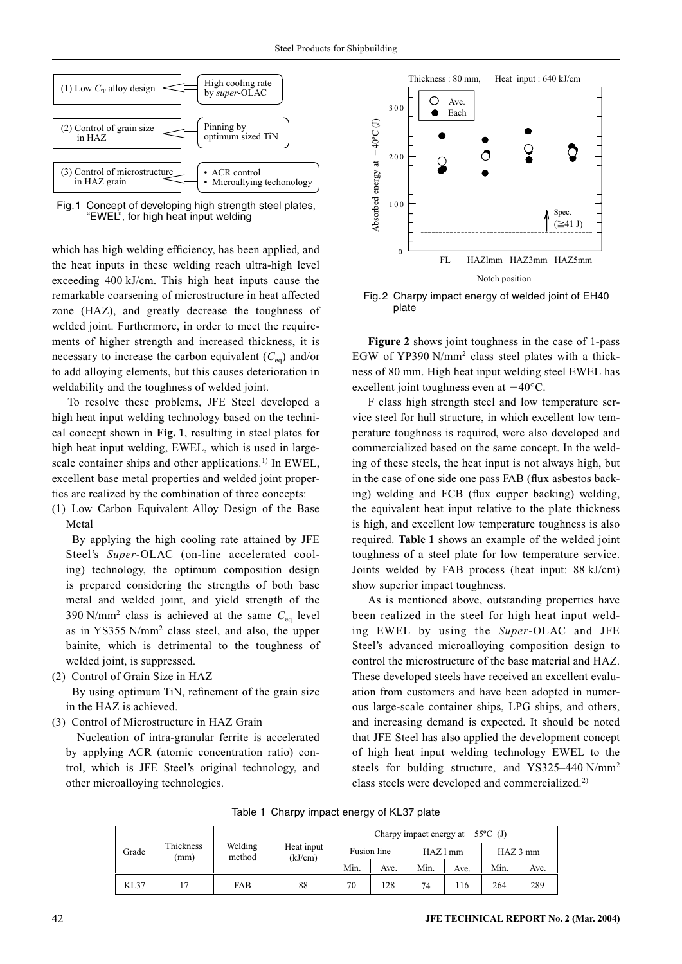

Fig. 1 Concept of developing high strength steel plates, "EWEL", for high heat input welding

which has high welding efficiency, has been applied, and the heat inputs in these welding reach ultra-high level exceeding 400 kJ/cm. This high heat inputs cause the remarkable coarsening of microstructure in heat affected zone (HAZ), and greatly decrease the toughness of welded joint. Furthermore, in order to meet the requirements of higher strength and increased thickness, it is necessary to increase the carbon equivalent  $(C_{eq})$  and/or to add alloying elements, but this causes deterioration in weldability and the toughness of welded joint.

To resolve these problems, JFE Steel developed a high heat input welding technology based on the technical concept shown in **Fig. 1**, resulting in steel plates for high heat input welding, EWEL, which is used in largescale container ships and other applications.<sup>1)</sup> In EWEL, excellent base metal properties and welded joint properties are realized by the combination of three concepts:

(1) Low Carbon Equivalent Alloy Design of the Base Metal

By applying the high cooling rate attained by JFE Steel's *Super*-OLAC (on-line accelerated cooling) technology, the optimum composition design is prepared considering the strengths of both base metal and welded joint, and yield strength of the 390 N/mm<sup>2</sup> class is achieved at the same  $C_{eq}$  level as in YS355 N/mm2 class steel, and also, the upper bainite, which is detrimental to the toughness of welded joint, is suppressed.

- (2) Control of Grain Size in HAZ By using optimum TiN, refinement of the grain size in the HAZ is achieved.
- (3) Control of Microstructure in HAZ Grain

 Nucleation of intra-granular ferrite is accelerated by applying ACR (atomic concentration ratio) control, which is JFE Steel's original technology, and other microalloying technologies.



Fig. 2 Charpy impact energy of welded joint of EH40 plate

**Figure 2** shows joint toughness in the case of 1-pass EGW of YP390 N/mm2 class steel plates with a thickness of 80 mm. High heat input welding steel EWEL has excellent joint toughness even at  $-40^{\circ}$ C.

F class high strength steel and low temperature service steel for hull structure, in which excellent low temperature toughness is required, were also developed and commercialized based on the same concept. In the welding of these steels, the heat input is not always high, but in the case of one side one pass FAB (flux asbestos backing) welding and FCB (flux cupper backing) welding, the equivalent heat input relative to the plate thickness is high, and excellent low temperature toughness is also required. **Table 1** shows an example of the welded joint toughness of a steel plate for low temperature service. Joints welded by FAB process (heat input: 88 kJ/cm) show superior impact toughness.

As is mentioned above, outstanding properties have been realized in the steel for high heat input welding EWEL by using the *Super*-OLAC and JFE Steel's advanced microalloying composition design to control the microstructure of the base material and HAZ. These developed steels have received an excellent evaluation from customers and have been adopted in numerous large-scale container ships, LPG ships, and others, and increasing demand is expected. It should be noted that JFE Steel has also applied the development concept of high heat input welding technology EWEL to the steels for bulding structure, and YS325–440 N/mm2 class steels were developed and commercialized.2)

Table 1 Charpy impact energy of KL37 plate

| Grade |                   | Welding<br>method | Heat input<br>(kJ/cm) | Charpy impact energy at $-55^{\circ}$ C (J) |      |        |      |            |      |  |
|-------|-------------------|-------------------|-----------------------|---------------------------------------------|------|--------|------|------------|------|--|
|       | Thickness<br>(mm) |                   |                       | Fusion line                                 |      | HAZ1mm |      | $HAZ$ 3 mm |      |  |
|       |                   |                   |                       | Min.                                        | Ave. | Min.   | Ave. | Min.       | Ave. |  |
| KL37  | . 7               | <b>FAB</b>        | 88                    | 70                                          | 128  | 74     | 116  | 264        | 289  |  |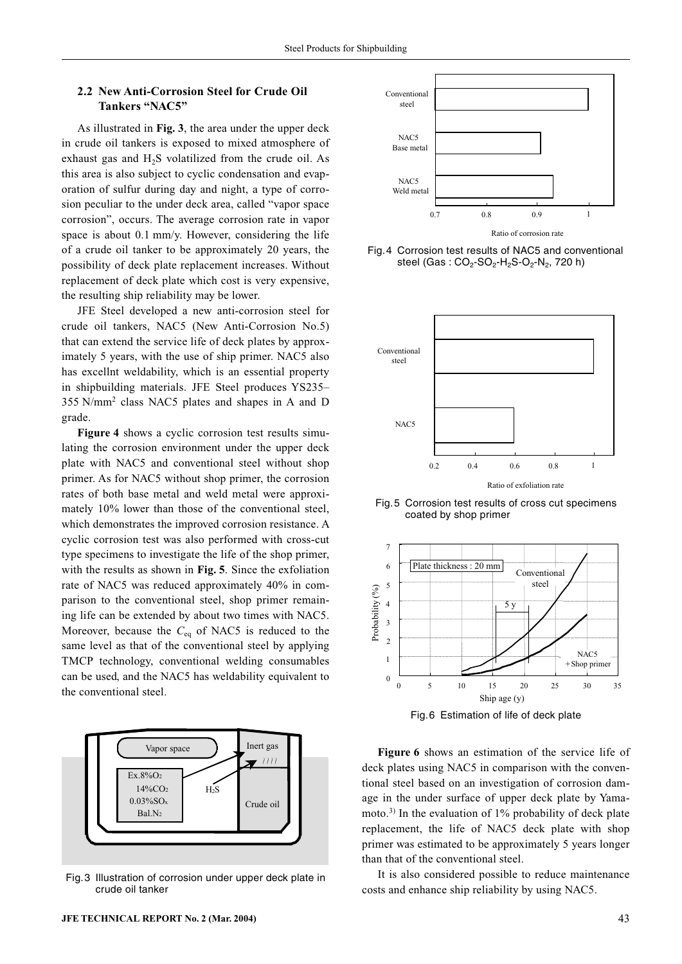# **2.2 New Anti-Corrosion Steel for Crude Oil Tankers "NAC5"**

As illustrated in **Fig. 3**, the area under the upper deck in crude oil tankers is exposed to mixed atmosphere of exhaust gas and H<sub>2</sub>S volatilized from the crude oil. As this area is also subject to cyclic condensation and evaporation of sulfur during day and night, a type of corrosion peculiar to the under deck area, called "vapor space corrosion", occurs. The average corrosion rate in vapor space is about 0.1 mm/y. However, considering the life of a crude oil tanker to be approximately 20 years, the possibility of deck plate replacement increases. Without replacement of deck plate which cost is very expensive, the resulting ship reliability may be lower.

JFE Steel developed a new anti-corrosion steel for crude oil tankers, NAC5 (New Anti-Corrosion No.5) that can extend the service life of deck plates by approximately 5 years, with the use of ship primer. NAC5 also has excellnt weldability, which is an essential property in shipbuilding materials. JFE Steel produces YS235– 355 N/mm2 class NAC5 plates and shapes in A and D grade.

**Figure 4** shows a cyclic corrosion test results simulating the corrosion environment under the upper deck plate with NAC5 and conventional steel without shop primer. As for NAC5 without shop primer, the corrosion rates of both base metal and weld metal were approximately 10% lower than those of the conventional steel, which demonstrates the improved corrosion resistance. A cyclic corrosion test was also performed with cross-cut type specimens to investigate the life of the shop primer, with the results as shown in **Fig. 5**. Since the exfoliation rate of NAC5 was reduced approximately 40% in comparison to the conventional steel, shop primer remaining life can be extended by about two times with NAC5. Moreover, because the  $C_{eq}$  of NAC5 is reduced to the same level as that of the conventional steel by applying TMCP technology, conventional welding consumables can be used, and the NAC5 has weldability equivalent to the conventional steel.



Fig. 3 Illustration of corrosion under upper deck plate in crude oil tanker



Fig. 4 Corrosion test results of NAC5 and conventional steel (Gas :  $CO_2$ -SO<sub>2</sub>-H<sub>2</sub>S-O<sub>2</sub>-N<sub>2</sub>, 720 h)



Fig. 5 Corrosion test results of cross cut specimens coated by shop primer



**Figure 6** shows an estimation of the service life of deck plates using NAC5 in comparison with the conventional steel based on an investigation of corrosion damage in the under surface of upper deck plate by Yamamoto.<sup>3)</sup> In the evaluation of  $1\%$  probability of deck plate replacement, the life of NAC5 deck plate with shop primer was estimated to be approximately 5 years longer than that of the conventional steel.

It is also considered possible to reduce maintenance costs and enhance ship reliability by using NAC5.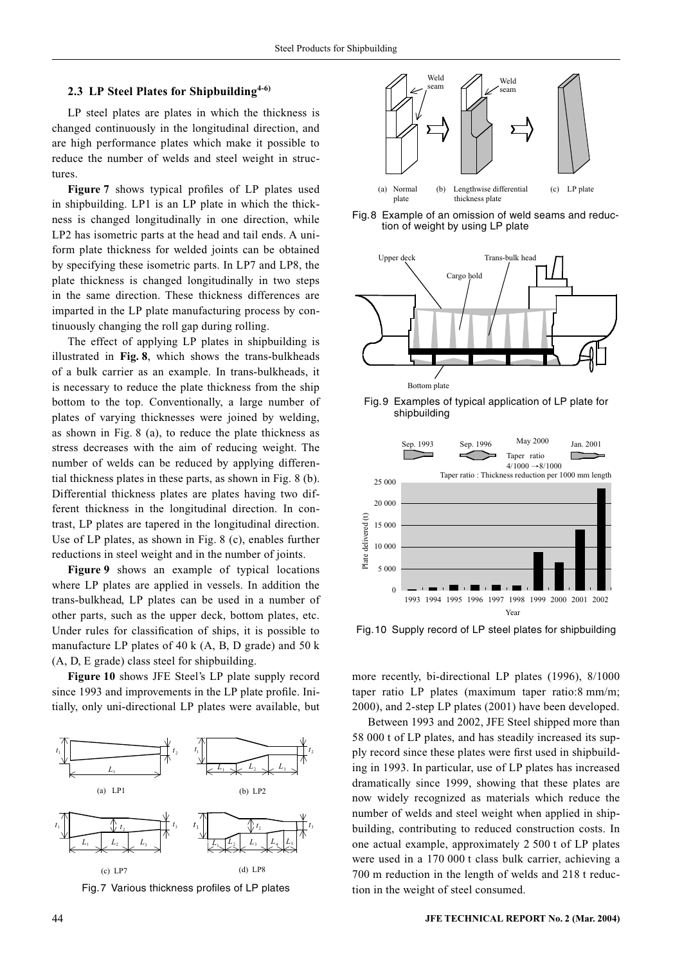#### **2.3 LP Steel Plates for Shipbuilding4-6)**

LP steel plates are plates in which the thickness is changed continuously in the longitudinal direction, and are high performance plates which make it possible to reduce the number of welds and steel weight in structures.

**Figure 7** shows typical profiles of LP plates used in shipbuilding. LP1 is an LP plate in which the thickness is changed longitudinally in one direction, while LP2 has isometric parts at the head and tail ends. A uniform plate thickness for welded joints can be obtained by specifying these isometric parts. In LP7 and LP8, the plate thickness is changed longitudinally in two steps in the same direction. These thickness differences are imparted in the LP plate manufacturing process by continuously changing the roll gap during rolling.

The effect of applying LP plates in shipbuilding is illustrated in **Fig. 8**, which shows the trans-bulkheads of a bulk carrier as an example. In trans-bulkheads, it is necessary to reduce the plate thickness from the ship bottom to the top. Conventionally, a large number of plates of varying thicknesses were joined by welding, as shown in Fig. 8 (a), to reduce the plate thickness as stress decreases with the aim of reducing weight. The number of welds can be reduced by applying differential thickness plates in these parts, as shown in Fig. 8 (b). Differential thickness plates are plates having two different thickness in the longitudinal direction. In contrast, LP plates are tapered in the longitudinal direction. Use of LP plates, as shown in Fig. 8 (c), enables further reductions in steel weight and in the number of joints.

**Figure 9** shows an example of typical locations where LP plates are applied in vessels. In addition the trans-bulkhead, LP plates can be used in a number of other parts, such as the upper deck, bottom plates, etc. Under rules for classification of ships, it is possible to manufacture LP plates of 40 k  $(A, B, D \text{ grade})$  and 50 k (A, D, E grade) class steel for shipbuilding.

**Figure 10** shows JFE Steel's LP plate supply record since 1993 and improvements in the LP plate profile. Initially, only uni-directional LP plates were available, but







Fig. 8 Example of an omission of weld seams and reduction of weight by using LP plate







Fig. 10 Supply record of LP steel plates for shipbuilding

more recently, bi-directional LP plates (1996), 8/1000 taper ratio LP plates (maximum taper ratio:8 mm/m; 2000), and 2-step LP plates (2001) have been developed.

Between 1993 and 2002, JFE Steel shipped more than 58 000 t of LP plates, and has steadily increased its supply record since these plates were first used in shipbuilding in 1993. In particular, use of LP plates has increased dramatically since 1999, showing that these plates are now widely recognized as materials which reduce the number of welds and steel weight when applied in shipbuilding, contributing to reduced construction costs. In one actual example, approximately 2 500 t of LP plates were used in a 170 000 t class bulk carrier, achieving a 700 m reduction in the length of welds and 218 t reduction in the weight of steel consumed.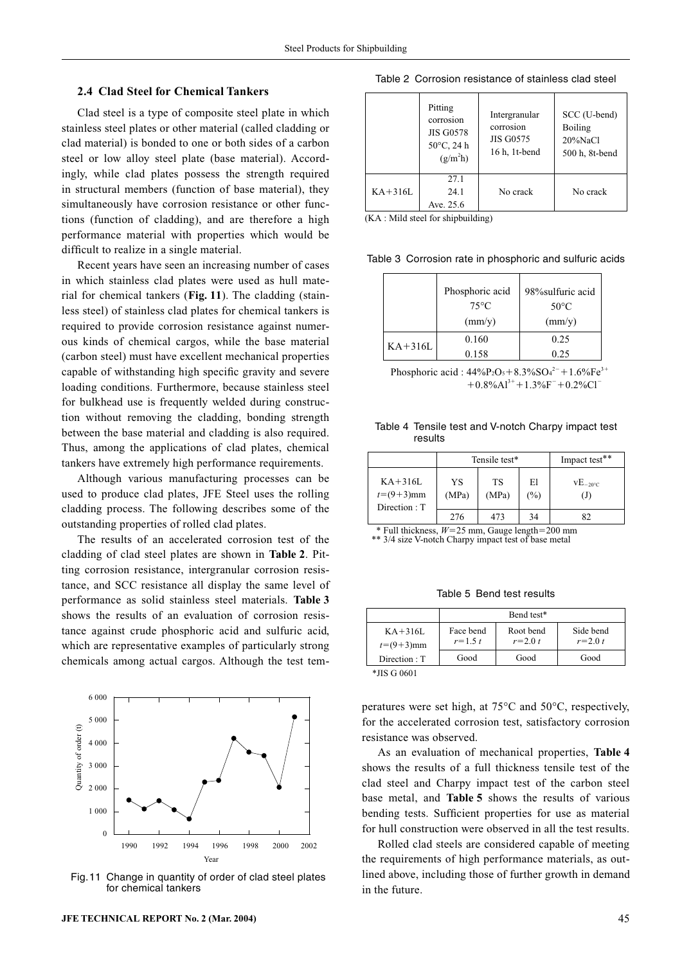#### **2.4 Clad Steel for Chemical Tankers**

Clad steel is a type of composite steel plate in which stainless steel plates or other material (called cladding or clad material) is bonded to one or both sides of a carbon steel or low alloy steel plate (base material). Accordingly, while clad plates possess the strength required in structural members (function of base material), they simultaneously have corrosion resistance or other functions (function of cladding), and are therefore a high performance material with properties which would be difficult to realize in a single material.

Recent years have seen an increasing number of cases in which stainless clad plates were used as hull material for chemical tankers (**Fig. 11**). The cladding (stainless steel) of stainless clad plates for chemical tankers is required to provide corrosion resistance against numerous kinds of chemical cargos, while the base material (carbon steel) must have excellent mechanical properties capable of withstanding high specific gravity and severe loading conditions. Furthermore, because stainless steel for bulkhead use is frequently welded during construction without removing the cladding, bonding strength between the base material and cladding is also required. Thus, among the applications of clad plates, chemical tankers have extremely high performance requirements.

Although various manufacturing processes can be used to produce clad plates, JFE Steel uses the rolling cladding process. The following describes some of the outstanding properties of rolled clad plates.

The results of an accelerated corrosion test of the cladding of clad steel plates are shown in **Table 2**. Pitting corrosion resistance, intergranular corrosion resistance, and SCC resistance all display the same level of performance as solid stainless steel materials. **Table 3** shows the results of an evaluation of corrosion resistance against crude phosphoric acid and sulfuric acid, which are representative examples of particularly strong chemicals among actual cargos. Although the test tem-



Fig. 11 Change in quantity of order of clad steel plates for chemical tankers

#### Table 2 Corrosion resistance of stainless clad steel

|           | Pitting<br>corrosion<br><b>JIS G0578</b><br>$50^{\circ}$ C, 24 h<br>(g/m <sup>2</sup> h) | Intergranular<br>corrosion<br><b>JIS G0575</b><br>16 h, 1t-bend | SCC (U-bend)<br><b>Boiling</b><br>$20\%$ NaCl<br>500 h, 8t-bend |
|-----------|------------------------------------------------------------------------------------------|-----------------------------------------------------------------|-----------------------------------------------------------------|
| $KA+316L$ | 27.1<br>24.1<br>Ave. 25.6                                                                | No crack                                                        | No crack                                                        |

(KA : Mild steel for shipbuilding)

Table 3 Corrosion rate in phosphoric and sulfuric acids

|           | Phosphoric acid<br>$75^{\circ}$ C<br>$\text{(mm/y)}$ | 98% sulfuric acid<br>$50^{\circ}$ C<br>$\text{(mm/y)}$ |
|-----------|------------------------------------------------------|--------------------------------------------------------|
|           | 0.160                                                | 0.25                                                   |
| $KA+316L$ | 0.158                                                | 0.25                                                   |

Phosphoric acid :  $44\%P_2O_5 + 8.3\%O_4^{2-} + 1.6\%Fe^{3+}$  $+0.8\%$ Al<sup>3+</sup> $+1.3\%$ F<sup>-</sup> $+0.2\%$ Cl<sup>-</sup>

Table 4 Tensile test and V-notch Charpy impact test results

|                                             |             | Tensile test* | Impact test** |                            |
|---------------------------------------------|-------------|---------------|---------------|----------------------------|
| $KA+316L$<br>$t = (9+3)$ mm<br>Direction: T | YS<br>(MPa) | TS<br>(MPa)   | El<br>(%)     | $VE_{-20\degree C}$<br>(J) |
|                                             | 276         | 473           | 34            | 82                         |

 $*$  Full thickness,  $W=25$  mm, Gauge length $=200$  mm \*\* 3/4 size V-notch Charpy impact test of base metal

Table 5 Bend test results

|                             | Bend test*               |                          |                          |  |  |  |  |  |
|-----------------------------|--------------------------|--------------------------|--------------------------|--|--|--|--|--|
| $KA+316L$<br>$t = (9+3)$ mm | Face bend<br>$r = 1.5 t$ | Root bend<br>$r = 2.0 t$ | Side bend<br>$r = 2.0 t$ |  |  |  |  |  |
| Direction : T               | Good                     | Good                     | Good                     |  |  |  |  |  |

\*JIS G 0601

peratures were set high, at 75°C and 50°C, respectively, for the accelerated corrosion test, satisfactory corrosion resistance was observed.

As an evaluation of mechanical properties, **Table 4** shows the results of a full thickness tensile test of the clad steel and Charpy impact test of the carbon steel base metal, and **Table 5** shows the results of various bending tests. Sufficient properties for use as material for hull construction were observed in all the test results.

Rolled clad steels are considered capable of meeting the requirements of high performance materials, as outlined above, including those of further growth in demand in the future.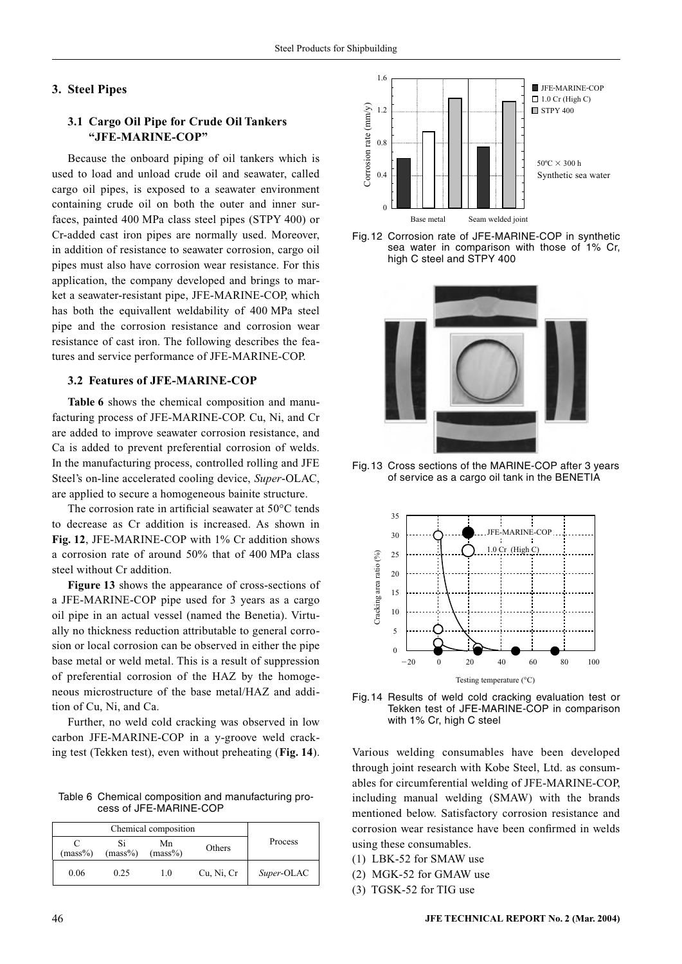# **3. Steel Pipes**

# **3.1 Cargo Oil Pipe for Crude Oil Tankers "JFE-MARINE-COP"**

Because the onboard piping of oil tankers which is used to load and unload crude oil and seawater, called cargo oil pipes, is exposed to a seawater environment containing crude oil on both the outer and inner surfaces, painted 400 MPa class steel pipes (STPY 400) or Cr-added cast iron pipes are normally used. Moreover, in addition of resistance to seawater corrosion, cargo oil pipes must also have corrosion wear resistance. For this application, the company developed and brings to market a seawater-resistant pipe, JFE-MARINE-COP, which has both the equivallent weldability of 400 MPa steel pipe and the corrosion resistance and corrosion wear resistance of cast iron. The following describes the features and service performance of JFE-MARINE-COP.

# **3.2 Features of JFE-MARINE-COP**

**Table 6** shows the chemical composition and manufacturing process of JFE-MARINE-COP. Cu, Ni, and Cr are added to improve seawater corrosion resistance, and Ca is added to prevent preferential corrosion of welds. In the manufacturing process, controlled rolling and JFE Steel's on-line accelerated cooling device, *Super*-OLAC, are applied to secure a homogeneous bainite structure.

The corrosion rate in artificial seawater at 50°C tends to decrease as Cr addition is increased. As shown in **Fig. 12**, JFE-MARINE-COP with 1% Cr addition shows a corrosion rate of around 50% that of 400 MPa class steel without Cr addition.

**Figure 13** shows the appearance of cross-sections of a JFE-MARINE-COP pipe used for 3 years as a cargo oil pipe in an actual vessel (named the Benetia). Virtually no thickness reduction attributable to general corrosion or local corrosion can be observed in either the pipe base metal or weld metal. This is a result of suppression of preferential corrosion of the HAZ by the homogeneous microstructure of the base metal/HAZ and addition of Cu, Ni, and Ca.

Further, no weld cold cracking was observed in low carbon JFE-MARINE-COP in a y-groove weld crack-

Table 6 Chemical composition and manufacturing process of JFE-MARINE-COP

| $(mass\%)$ | Mn<br>$(mass\%)$<br>$(mass\%)$ |     | Others     | Process    |  |
|------------|--------------------------------|-----|------------|------------|--|
| 0.06       | 0.25                           | 1.0 | Cu, Ni, Cr | Super-OLAC |  |



Fig. 12 Corrosion rate of JFE-MARINE-COP in synthetic sea water in comparison with those of 1% Cr, high C steel and STPY 400



Fig. 13 Cross sections of the MARINE-COP after 3 years of service as a cargo oil tank in the BENETIA





ing test (Tekken test), even without preheating (**Fig. 14**). Various welding consumables have been developed through joint research with Kobe Steel, Ltd. as consumables for circumferential welding of JFE-MARINE-COP, including manual welding (SMAW) with the brands mentioned below. Satisfactory corrosion resistance and corrosion wear resistance have been confirmed in welds using these consumables.

- (1) LBK-52 for SMAW use
- (2) MGK-52 for GMAW use
- (3) TGSK-52 for TIG use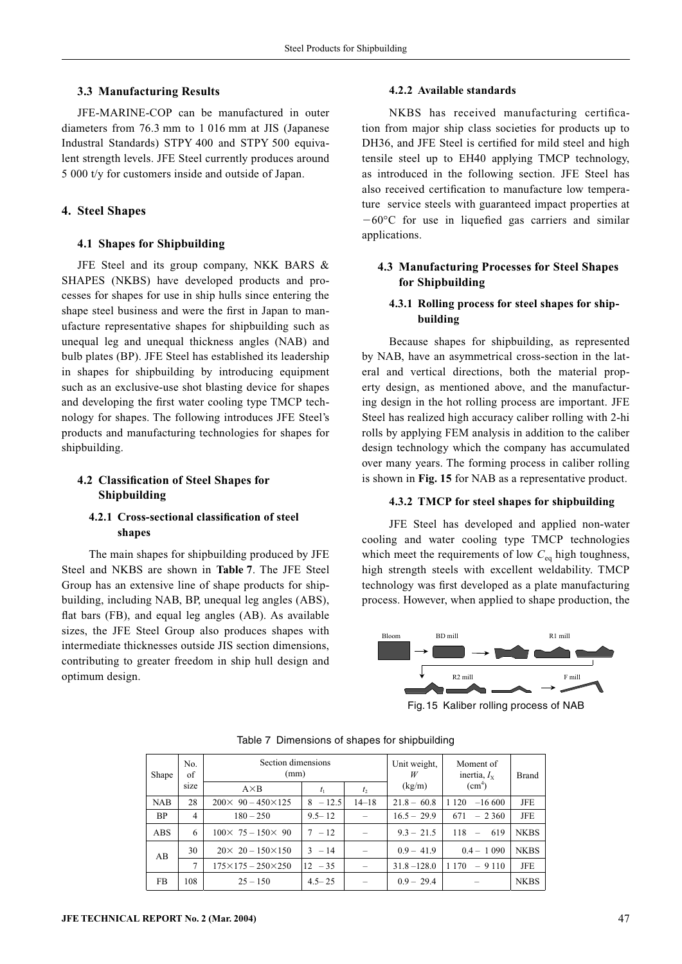#### **3.3 Manufacturing Results**

JFE-MARINE-COP can be manufactured in outer diameters from 76.3 mm to 1 016 mm at JIS (Japanese Industral Standards) STPY 400 and STPY 500 equivalent strength levels. JFE Steel currently produces around 5 000 t/y for customers inside and outside of Japan.

#### **4. Steel Shapes**

#### **4.1 Shapes for Shipbuilding**

JFE Steel and its group company, NKK BARS & SHAPES (NKBS) have developed products and processes for shapes for use in ship hulls since entering the shape steel business and were the first in Japan to manufacture representative shapes for shipbuilding such as unequal leg and unequal thickness angles (NAB) and bulb plates (BP). JFE Steel has established its leadership in shapes for shipbuilding by introducing equipment such as an exclusive-use shot blasting device for shapes and developing the first water cooling type TMCP technology for shapes. The following introduces JFE Steel's products and manufacturing technologies for shapes for shipbuilding.

# **4.2 Classification of Steel Shapes for Shipbuilding**

# **4.2.1 Cross-sectional classification of steel shapes**

The main shapes for shipbuilding produced by JFE Steel and NKBS are shown in **Table 7**. The JFE Steel Group has an extensive line of shape products for shipbuilding, including NAB, BP, unequal leg angles (ABS), flat bars (FB), and equal leg angles (AB). As available sizes, the JFE Steel Group also produces shapes with intermediate thicknesses outside JIS section dimensions, contributing to greater freedom in ship hull design and optimum design.

#### **4.2.2 Available standards**

NKBS has received manufacturing certification from major ship class societies for products up to DH36, and JFE Steel is certified for mild steel and high tensile steel up to EH40 applying TMCP technology, as introduced in the following section. JFE Steel has also received certification to manufacture low temperature service steels with guaranteed impact properties at  $-60^{\circ}$ C for use in liquefied gas carriers and similar applications.

## **4.3 Manufacturing Processes for Steel Shapes for Shipbuilding**

# **4.3.1 Rolling process for steel shapes for shipbuilding**

Because shapes for shipbuilding, as represented by NAB, have an asymmetrical cross-section in the lateral and vertical directions, both the material property design, as mentioned above, and the manufacturing design in the hot rolling process are important. JFE Steel has realized high accuracy caliber rolling with 2-hi rolls by applying FEM analysis in addition to the caliber design technology which the company has accumulated over many years. The forming process in caliber rolling is shown in **Fig. 15** for NAB as a representative product.

## **4.3.2 TMCP for steel shapes for shipbuilding**

JFE Steel has developed and applied non-water cooling and water cooling type TMCP technologies which meet the requirements of low  $C_{eq}$  high toughness, high strength steels with excellent weldability. TMCP technology was first developed as a plate manufacturing process. However, when applied to shape production, the



Fig. 15 Kaliber rolling process of NAB

| Shape      | No.<br>of | Section dimensions<br>(mm)        |            | Unit weight,<br>W | Moment of<br>inertia, $I_{x}$ | <b>Brand</b>                           |             |
|------------|-----------|-----------------------------------|------------|-------------------|-------------------------------|----------------------------------------|-------------|
|            | size      | $A \times B$                      |            | t <sub>2</sub>    | (kg/m)                        | (cm <sup>4</sup> )                     |             |
| <b>NAB</b> | 28        | $200 \times 90 - 450 \times 125$  | $8 - 12.5$ | $14 - 18$         | $21.8 - 60.8$                 | 1 1 2 0<br>$-16,600$                   | JFE         |
| BP         | 4         | $180 - 250$                       | $9.5 - 12$ |                   | $16.5 - 29.9$                 | 671<br>$-2360$                         | JFE         |
| <b>ABS</b> | 6         | $100 \times 75 - 150 \times 90$   | $7 - 12$   |                   | $9.3 - 21.5$                  | 118<br>619<br>$\overline{\phantom{m}}$ | <b>NKBS</b> |
| AВ         | 30        | $20 \times 20 - 150 \times 150$   | $3 - 14$   |                   | $0.9 - 41.9$                  | $0.4 - 1.090$                          | <b>NKBS</b> |
|            | 7         | $175 \times 175 - 250 \times 250$ | $12 - 35$  |                   | $31.8 - 128.0$                | 1 1 7 0<br>$-9110$                     | JFE         |
| FB         | 108       | $25 - 150$                        | $4.5 - 25$ |                   | $0.9 - 29.4$                  |                                        | <b>NKBS</b> |

Table 7 Dimensions of shapes for shipbuilding